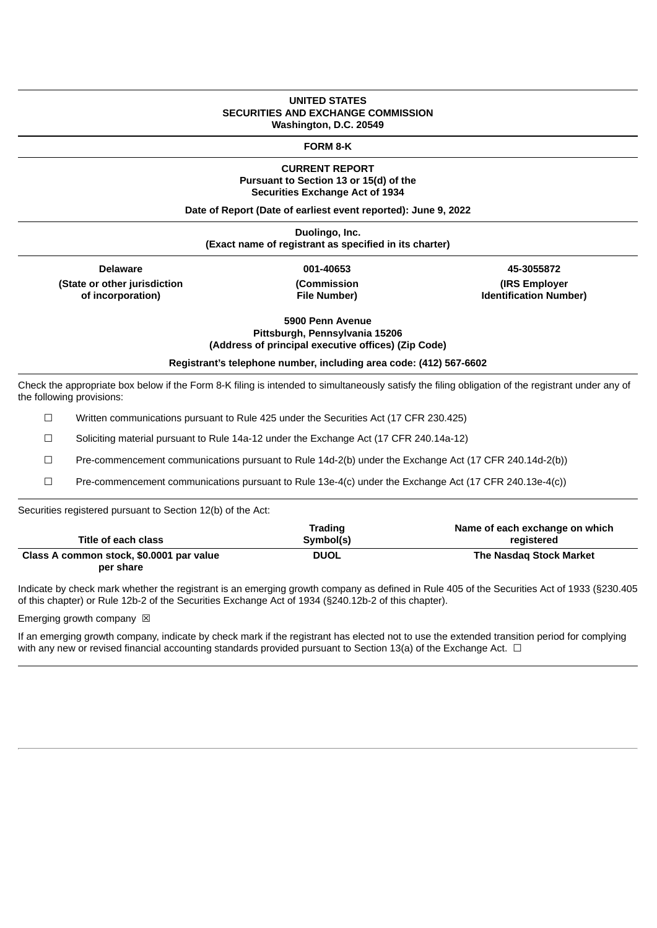### **UNITED STATES SECURITIES AND EXCHANGE COMMISSION Washington, D.C. 20549**

**FORM 8-K**

## **CURRENT REPORT Pursuant to Section 13 or 15(d) of the Securities Exchange Act of 1934**

**Date of Report (Date of earliest event reported): June 9, 2022**

**Duolingo, Inc. (Exact name of registrant as specified in its charter)**

**Delaware 001-40653 45-3055872 (State or other jurisdiction of incorporation)**

**(Commission File Number)**

**(IRS Employer Identification Number)**

**5900 Penn Avenue**

**Pittsburgh, Pennsylvania 15206 (Address of principal executive offices) (Zip Code)**

**Registrant's telephone number, including area code: (412) 567-6602**

Check the appropriate box below if the Form 8-K filing is intended to simultaneously satisfy the filing obligation of the registrant under any of the following provisions:

☐ Written communications pursuant to Rule 425 under the Securities Act (17 CFR 230.425)

☐ Soliciting material pursuant to Rule 14a-12 under the Exchange Act (17 CFR 240.14a-12)

☐ Pre-commencement communications pursuant to Rule 14d-2(b) under the Exchange Act (17 CFR 240.14d-2(b))

☐ Pre-commencement communications pursuant to Rule 13e-4(c) under the Exchange Act (17 CFR 240.13e-4(c))

Securities registered pursuant to Section 12(b) of the Act:

|                                          | <b>Trading</b> | Name of each exchange on which |
|------------------------------------------|----------------|--------------------------------|
| Title of each class                      | Symbol(s)      | registered                     |
| Class A common stock, \$0.0001 par value | <b>DUOL</b>    | The Nasdag Stock Market        |
| per share                                |                |                                |

Indicate by check mark whether the registrant is an emerging growth company as defined in Rule 405 of the Securities Act of 1933 (§230.405 of this chapter) or Rule 12b-2 of the Securities Exchange Act of 1934 (§240.12b-2 of this chapter).

Emerging growth company  $\boxtimes$ 

If an emerging growth company, indicate by check mark if the registrant has elected not to use the extended transition period for complying with any new or revised financial accounting standards provided pursuant to Section 13(a) of the Exchange Act.  $\Box$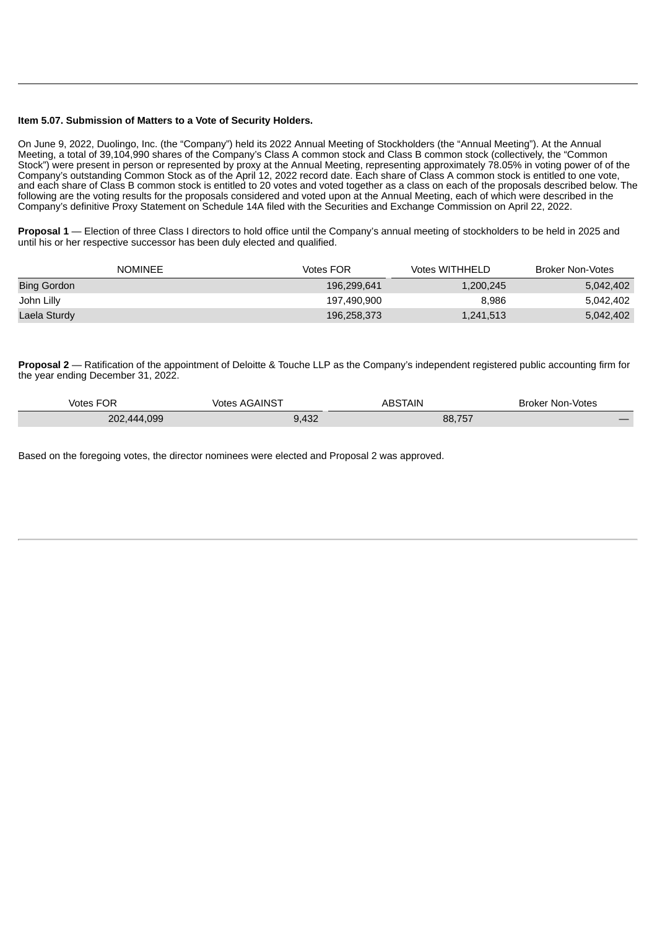#### **Item 5.07. Submission of Matters to a Vote of Security Holders.**

On June 9, 2022, Duolingo, Inc. (the "Company") held its 2022 Annual Meeting of Stockholders (the "Annual Meeting"). At the Annual Meeting, a total of 39,104,990 shares of the Company's Class A common stock and Class B common stock (collectively, the "Common Stock") were present in person or represented by proxy at the Annual Meeting, representing approximately 78.05% in voting power of of the Company's outstanding Common Stock as of the April 12, 2022 record date. Each share of Class A common stock is entitled to one vote, and each share of Class B common stock is entitled to 20 votes and voted together as a class on each of the proposals described below. The following are the voting results for the proposals considered and voted upon at the Annual Meeting, each of which were described in the Company's definitive Proxy Statement on Schedule 14A filed with the Securities and Exchange Commission on April 22, 2022.

**Proposal 1** — Election of three Class I directors to hold office until the Company's annual meeting of stockholders to be held in 2025 and until his or her respective successor has been duly elected and qualified.

| <b>NOMINEE</b> | Votes FOR   | <b>Votes WITHHELD</b> | Broker Non-Votes |
|----------------|-------------|-----------------------|------------------|
| Bing Gordon    | 196.299.641 | 1,200,245             | 5,042,402        |
| John Lilly     | 197.490.900 | 8.986                 | 5,042,402        |
| Laela Sturdy   | 196,258,373 | 1,241,513             | 5,042,402        |

**Proposal 2** — Ratification of the appointment of Deloitte & Touche LLP as the Company's independent registered public accounting firm for the year ending December 31, 2022.

| -^-<br>Votes<br>◡                            | $.54$ $\text{N}$<br>votes | <b>BSTAIN</b><br>≞⊢   | : Non-Votes<br>Broker |
|----------------------------------------------|---------------------------|-----------------------|-----------------------|
| .099<br>״∩י<br>$\Delta \Delta \Delta$<br>ے ت | 12 <sup>7</sup><br>⊸∽     | 7 <sup>2</sup><br>88. | $-$                   |

Based on the foregoing votes, the director nominees were elected and Proposal 2 was approved.